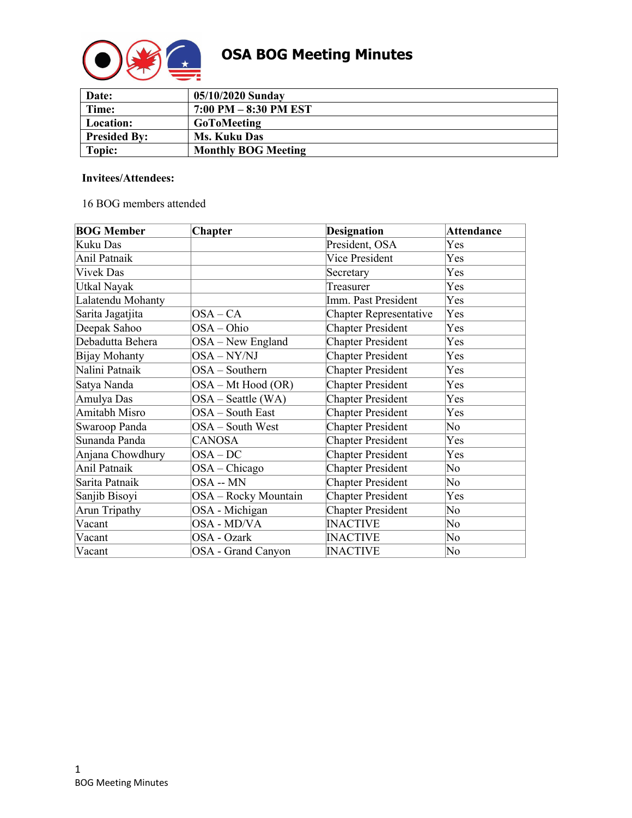

# **OSA BOG Meeting Minutes**

| Date:               | 05/10/2020 Sunday          |
|---------------------|----------------------------|
| Time:               | $7:00$ PM $-8:30$ PM EST   |
| Location:           | <b>GoToMeeting</b>         |
| <b>Presided By:</b> | <b>Ms. Kuku Das</b>        |
| Topic:              | <b>Monthly BOG Meeting</b> |

# **Invitees/Attendees:**

# 16 BOG members attended

| <b>BOG Member</b> | <b>Chapter</b>       | <b>Designation</b>            | <b>Attendance</b> |
|-------------------|----------------------|-------------------------------|-------------------|
| Kuku Das          |                      | President, OSA                | Yes               |
| Anil Patnaik      |                      | Vice President                | Yes               |
| <b>Vivek Das</b>  |                      | Secretary                     | Yes               |
| Utkal Nayak       |                      | Treasurer                     | Yes               |
| Lalatendu Mohanty |                      | Imm. Past President           | Yes               |
| Sarita Jagatjita  | $OSA-CA$             | <b>Chapter Representative</b> | Yes               |
| Deepak Sahoo      | OSA-Ohio             | <b>Chapter President</b>      | Yes               |
| Debadutta Behera  | $OSA - New England$  | <b>Chapter President</b>      | Yes               |
| Bijay Mohanty     | OSA-NY/NJ            | <b>Chapter President</b>      | Yes               |
| Nalini Patnaik    | OSA - Southern       | <b>Chapter President</b>      | Yes               |
| Satya Nanda       | OSA – Mt Hood (OR)   | <b>Chapter President</b>      | Yes               |
| Amulya Das        | $OSA - Seattle (WA)$ | <b>Chapter President</b>      | Yes               |
| Amitabh Misro     | OSA - South East     | <b>Chapter President</b>      | Yes               |
| Swaroop Panda     | OSA – South West     | <b>Chapter President</b>      | No                |
| Sunanda Panda     | CANOSA               | <b>Chapter President</b>      | Yes               |
| Anjana Chowdhury  | $OSA-DC$             | <b>Chapter President</b>      | Yes               |
| Anil Patnaik      | $OSA - Chicago$      | <b>Chapter President</b>      | No                |
| Sarita Patnaik    | OSA -- MN            | <b>Chapter President</b>      | No                |
| Sanjib Bisoyi     | OSA - Rocky Mountain | <b>Chapter President</b>      | Yes               |
| Arun Tripathy     | OSA - Michigan       | <b>Chapter President</b>      | No                |
| Vacant            | OSA - MD/VA          | <b>INACTIVE</b>               | No                |
| Vacant            | OSA - Ozark          | <b>INACTIVE</b>               | No                |
| Vacant            | OSA - Grand Canyon   | <b>INACTIVE</b>               | No                |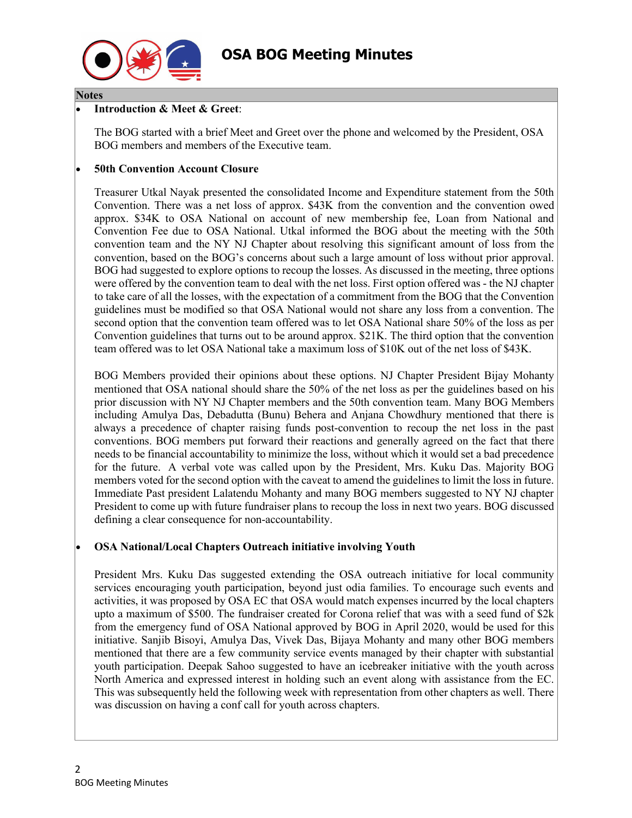

#### **Notes**

#### • **Introduction & Meet & Greet**:

The BOG started with a brief Meet and Greet over the phone and welcomed by the President, OSA BOG members and members of the Executive team.

#### • **50th Convention Account Closure**

Treasurer Utkal Nayak presented the consolidated Income and Expenditure statement from the 50th Convention. There was a net loss of approx. \$43K from the convention and the convention owed approx. \$34K to OSA National on account of new membership fee, Loan from National and Convention Fee due to OSA National. Utkal informed the BOG about the meeting with the 50th convention team and the NY NJ Chapter about resolving this significant amount of loss from the convention, based on the BOG's concerns about such a large amount of loss without prior approval. BOG had suggested to explore options to recoup the losses. As discussed in the meeting, three options were offered by the convention team to deal with the net loss. First option offered was - the NJ chapter to take care of all the losses, with the expectation of a commitment from the BOG that the Convention guidelines must be modified so that OSA National would not share any loss from a convention. The second option that the convention team offered was to let OSA National share 50% of the loss as per Convention guidelines that turns out to be around approx. \$21K. The third option that the convention team offered was to let OSA National take a maximum loss of \$10K out of the net loss of \$43K.

BOG Members provided their opinions about these options. NJ Chapter President Bijay Mohanty mentioned that OSA national should share the 50% of the net loss as per the guidelines based on his prior discussion with NY NJ Chapter members and the 50th convention team. Many BOG Members including Amulya Das, Debadutta (Bunu) Behera and Anjana Chowdhury mentioned that there is always a precedence of chapter raising funds post-convention to recoup the net loss in the past conventions. BOG members put forward their reactions and generally agreed on the fact that there needs to be financial accountability to minimize the loss, without which it would set a bad precedence for the future. A verbal vote was called upon by the President, Mrs. Kuku Das. Majority BOG members voted for the second option with the caveat to amend the guidelines to limit the loss in future. Immediate Past president Lalatendu Mohanty and many BOG members suggested to NY NJ chapter President to come up with future fundraiser plans to recoup the loss in next two years. BOG discussed defining a clear consequence for non-accountability.

# • **OSA National/Local Chapters Outreach initiative involving Youth**

President Mrs. Kuku Das suggested extending the OSA outreach initiative for local community services encouraging youth participation, beyond just odia families. To encourage such events and activities, it was proposed by OSA EC that OSA would match expenses incurred by the local chapters upto a maximum of \$500. The fundraiser created for Corona relief that was with a seed fund of \$2k from the emergency fund of OSA National approved by BOG in April 2020, would be used for this initiative. Sanjib Bisoyi, Amulya Das, Vivek Das, Bijaya Mohanty and many other BOG members mentioned that there are a few community service events managed by their chapter with substantial youth participation. Deepak Sahoo suggested to have an icebreaker initiative with the youth across North America and expressed interest in holding such an event along with assistance from the EC. This was subsequently held the following week with representation from other chapters as well. There was discussion on having a conf call for youth across chapters.